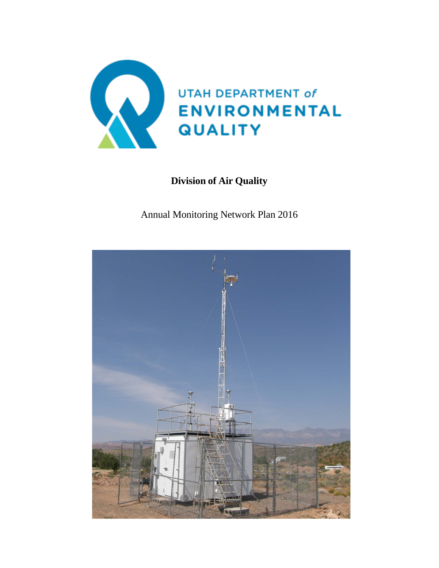

# **Division of Air Quality**

Annual Monitoring Network Plan 2016

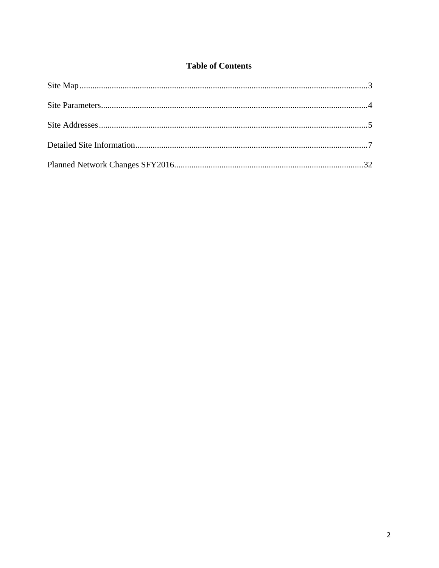# **Table of Contents**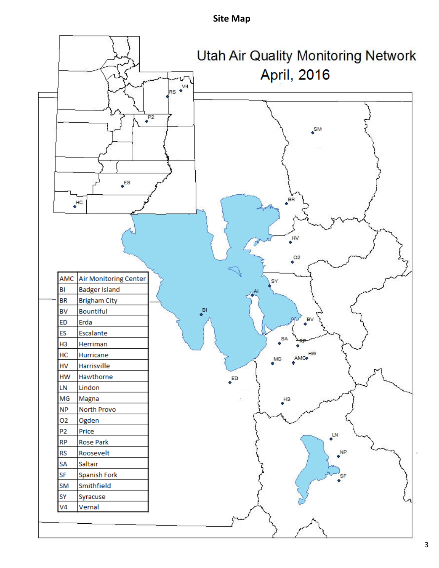# **Site Map**

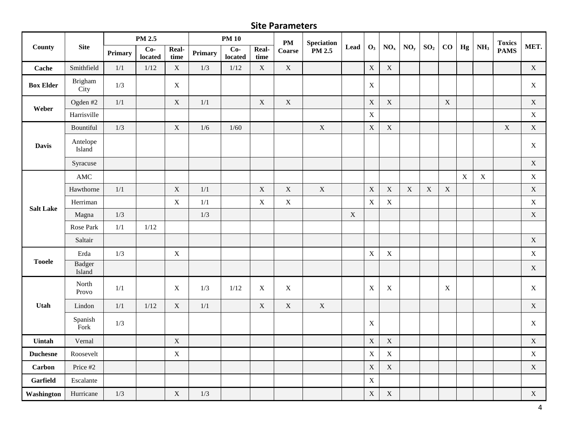# **Site Parameters**

|                  |                    |                | PM 2.5           |               |         | <b>PM 10</b>     |               | $\mathbf{PM}$ | <b>Speciation</b> |             |                |                 |                 |                 |             |             |                 | <b>Toxics</b> |             |
|------------------|--------------------|----------------|------------------|---------------|---------|------------------|---------------|---------------|-------------------|-------------|----------------|-----------------|-----------------|-----------------|-------------|-------------|-----------------|---------------|-------------|
| County           | <b>Site</b>        | <b>Primary</b> | $Co-$<br>located | Real-<br>time | Primary | $Co-$<br>located | Real-<br>time | Coarse        | PM 2.5            | Lead        | $\mathbf{O}_3$ | NO <sub>x</sub> | NO <sub>y</sub> | SO <sub>2</sub> | $\bf CO$    | Hg          | NH <sub>3</sub> | <b>PAMS</b>   | MET.        |
| Cache            | Smithfield         | 1/1            | $1/12$           | $\mathbf X$   | 1/3     | $1/12$           | $\mathbf X$   | $\mathbf X$   |                   |             | $\mathbf X$    | $\mathbf X$     |                 |                 |             |             |                 |               | $\mathbf X$ |
| <b>Box Elder</b> | Brigham<br>City    | 1/3            |                  | $\mathbf X$   |         |                  |               |               |                   |             | $\mathbf X$    |                 |                 |                 |             |             |                 |               | $\mathbf X$ |
| Weber            | Ogden #2           | 1/1            |                  | $\mathbf X$   | $1/1\,$ |                  | $\mathbf X$   | $\mathbf X$   |                   |             | $\mathbf X$    | $\mathbf X$     |                 |                 | $\mathbf X$ |             |                 |               | $\mathbf X$ |
|                  | Harrisville        |                |                  |               |         |                  |               |               |                   |             | $\mathbf X$    |                 |                 |                 |             |             |                 |               | $\mathbf X$ |
|                  | Bountiful          | $1/3$          |                  | $\mathbf X$   | $1/6$   | $1/60$           |               |               | $\mathbf X$       |             | $\mathbf X$    | $\mathbf X$     |                 |                 |             |             |                 | $\mathbf X$   | $\mathbf X$ |
| <b>Davis</b>     | Antelope<br>Island |                |                  |               |         |                  |               |               |                   |             |                |                 |                 |                 |             |             |                 |               | $\mathbf X$ |
|                  | Syracuse           |                |                  |               |         |                  |               |               |                   |             |                |                 |                 |                 |             |             |                 |               | $\mathbf X$ |
|                  | AMC                |                |                  |               |         |                  |               |               |                   |             |                |                 |                 |                 |             | $\mathbf X$ | $\mathbf X$     |               | $\mathbf X$ |
|                  | Hawthorne          | 1/1            |                  | $\mathbf X$   | 1/1     |                  | $\mathbf X$   | $\mathbf X$   | $\mathbf X$       |             | $\mathbf X$    | $\mathbf X$     | $\mathbf X$     | $\mathbf X$     | $\mathbf X$ |             |                 |               | $\mathbf X$ |
| <b>Salt Lake</b> | Herriman           |                |                  | $\mathbf X$   | 1/1     |                  | $\mathbf X$   | $\mathbf X$   |                   |             | $\mathbf X$    | $\mathbf X$     |                 |                 |             |             |                 |               | $\mathbf X$ |
|                  | Magna              | $1/3$          |                  |               | $1/3$   |                  |               |               |                   | $\mathbf X$ |                |                 |                 |                 |             |             |                 |               | $\mathbf X$ |
|                  | Rose Park          | $1/1\,$        | $1/12$           |               |         |                  |               |               |                   |             |                |                 |                 |                 |             |             |                 |               |             |
|                  | Saltair            |                |                  |               |         |                  |               |               |                   |             |                |                 |                 |                 |             |             |                 |               | $\mathbf X$ |
|                  | Erda               | 1/3            |                  | $\mathbf X$   |         |                  |               |               |                   |             | $\mathbf X$    | $\mathbf X$     |                 |                 |             |             |                 |               | $\mathbf X$ |
| <b>Tooele</b>    | Badger<br>Island   |                |                  |               |         |                  |               |               |                   |             |                |                 |                 |                 |             |             |                 |               | $\mathbf X$ |
|                  | North<br>Provo     | 1/1            |                  | $\mathbf X$   | $1/3$   | 1/12             | $\mathbf X$   | $\mathbf X$   |                   |             | $\mathbf X$    | $\mathbf X$     |                 |                 | $\mathbf X$ |             |                 |               | $\mathbf X$ |
| Utah             | Lindon             | 1/1            | $1/12$           | $\mathbf X$   | $1/1\,$ |                  | $\mathbf X$   | $\mathbf X$   | $\mathbf X$       |             |                |                 |                 |                 |             |             |                 |               | $\mathbf X$ |
|                  | Spanish<br>Fork    | 1/3            |                  |               |         |                  |               |               |                   |             | $\mathbf X$    |                 |                 |                 |             |             |                 |               | $\mathbf X$ |
| <b>Uintah</b>    | Vernal             |                |                  | $\mathbf X$   |         |                  |               |               |                   |             | $\mathbf X$    | $\mathbf X$     |                 |                 |             |             |                 |               | $\mathbf X$ |
| <b>Duchesne</b>  | Roosevelt          |                |                  | $\mathbf X$   |         |                  |               |               |                   |             | $\mathbf X$    | $\mathbf X$     |                 |                 |             |             |                 |               | $\mathbf X$ |
| <b>Carbon</b>    | Price #2           |                |                  |               |         |                  |               |               |                   |             | $\mathbf X$    | $\mathbf X$     |                 |                 |             |             |                 |               | $\mathbf X$ |
| Garfield         | Escalante          |                |                  |               |         |                  |               |               |                   |             | $\mathbf X$    |                 |                 |                 |             |             |                 |               |             |
| Washington       | Hurricane          | $1/3$          |                  | $\mathbf X$   | 1/3     |                  |               |               |                   |             | $\mathbf X$    | $\mathbf X$     |                 |                 |             |             |                 |               | X           |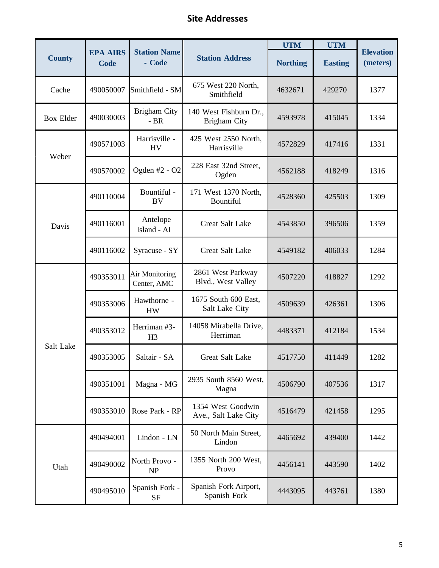# **Site Addresses**

|                  |                                |                                      |                                               | <b>UTM</b>      | <b>UTM</b>     |                              |
|------------------|--------------------------------|--------------------------------------|-----------------------------------------------|-----------------|----------------|------------------------------|
| <b>County</b>    | <b>EPA AIRS</b><br><b>Code</b> | <b>Station Name</b><br>- Code        | <b>Station Address</b>                        | <b>Northing</b> | <b>Easting</b> | <b>Elevation</b><br>(meters) |
| Cache            | 490050007                      | Smithfield - SM                      | 675 West 220 North,<br>Smithfield             | 4632671         | 429270         | 1377                         |
| <b>Box Elder</b> | 490030003                      | <b>Brigham City</b><br>$-BR$         | 140 West Fishburn Dr.,<br><b>Brigham City</b> | 4593978         | 415045         | 1334                         |
| Weber            | 490571003                      | Harrisville -<br><b>HV</b>           | 425 West 2550 North,<br>Harrisville           | 4572829         | 417416         | 1331                         |
|                  | 490570002                      | Ogden #2 - O2                        | 228 East 32nd Street,<br>Ogden                | 4562188         | 418249         | 1316                         |
|                  | 490110004                      | Bountiful -<br><b>BV</b>             | 171 West 1370 North,<br>Bountiful             | 4528360         | 425503         | 1309                         |
| Davis            | 490116001                      | Antelope<br>Island - AI              | Great Salt Lake                               | 4543850         | 396506         | 1359                         |
|                  | 490116002                      | Syracuse - SY                        | Great Salt Lake                               | 4549182         | 406033         | 1284                         |
|                  | 490353011                      | <b>Air Monitoring</b><br>Center, AMC | 2861 West Parkway<br>Blvd., West Valley       | 4507220         | 418827         | 1292                         |
|                  | 490353006                      | Hawthorne -<br><b>HW</b>             | 1675 South 600 East,<br>Salt Lake City        | 4509639         | 426361         | 1306                         |
|                  | 490353012                      | Herriman #3-<br>H <sub>3</sub>       | 14058 Mirabella Drive,<br>Herriman            | 4483371         | 412184         | 1534                         |
| Salt Lake        | 490353005                      | Saltair - SA                         | Great Salt Lake                               | 4517750         | 411449         | 1282                         |
|                  | 490351001                      | Magna - MG                           | 2935 South 8560 West,<br>Magna                | 4506790         | 407536         | 1317                         |
|                  | 490353010                      | Rose Park - RP                       | 1354 West Goodwin<br>Ave., Salt Lake City     | 4516479         | 421458         | 1295                         |
|                  | 490494001                      | Lindon - LN                          | 50 North Main Street,<br>Lindon               | 4465692         | 439400         | 1442                         |
| Utah             | 490490002                      | North Provo -<br>NP                  | 1355 North 200 West,<br>Provo                 | 4456141         | 443590         | 1402                         |
|                  | 490495010                      | Spanish Fork -<br>$\rm{SF}$          | Spanish Fork Airport,<br>Spanish Fork         | 4443095         | 443761         | 1380                         |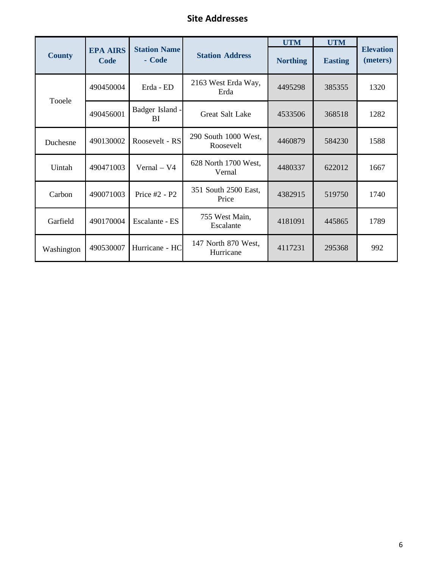# **Site Addresses**

|               |                         |                               |                                   | <b>UTM</b>      | <b>UTM</b>     |                              |
|---------------|-------------------------|-------------------------------|-----------------------------------|-----------------|----------------|------------------------------|
| <b>County</b> | <b>EPA AIRS</b><br>Code | <b>Station Name</b><br>- Code | <b>Station Address</b>            | <b>Northing</b> | <b>Easting</b> | <b>Elevation</b><br>(meters) |
| Tooele        | 490450004               | Erda - ED                     | 2163 West Erda Way,<br>Erda       | 4495298         | 385355         | 1320                         |
|               | 490456001               | Badger Island -<br>BI         | <b>Great Salt Lake</b>            | 4533506         | 368518         | 1282                         |
| Duchesne      | 490130002               | Roosevelt - RS                | 290 South 1000 West,<br>Roosevelt | 4460879         | 584230         | 1588                         |
| Uintah        | 490471003               | Vernal - V4                   | 628 North 1700 West,<br>Vernal    | 4480337         | 622012         | 1667                         |
| Carbon        | 490071003               | Price #2 - P2                 | 351 South 2500 East,<br>Price     | 4382915         | 519750         | 1740                         |
| Garfield      | 490170004               | Escalante - ES                | 755 West Main,<br>Escalante       | 4181091         | 445865         | 1789                         |
| Washington    | 490530007               | Hurricane - HC                | 147 North 870 West,<br>Hurricane  | 4117231         | 295368         | 992                          |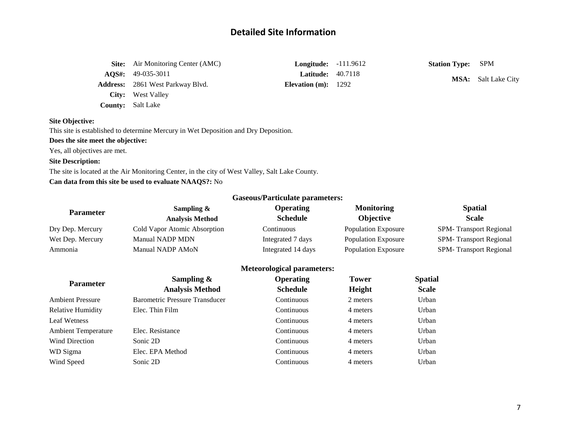# **Detailed Site Information**

| <b>Site:</b> Air Monitoring Center (AMC) | <b>Longitude:</b> $-111.9612$ | <b>Station Type:</b> SPM |                            |
|------------------------------------------|-------------------------------|--------------------------|----------------------------|
| $\textbf{AOS}_{1}: \quad 49-035-3011$    | <b>Latitude:</b> $40.7118$    |                          | <b>MSA:</b> Salt Lake City |
| <b>Address:</b> 2861 West Parkway Blvd.  | Elevation $(m): 1292$         |                          |                            |
| <b>City:</b> West Valley                 |                               |                          |                            |
| <b>County:</b> Salt Lake                 |                               |                          |                            |

# **Site Objective:**

This site is established to determine Mercury in Wet Deposition and Dry Deposition.

#### **Does the site meet the objective:**

Yes, all objectives are met.

# **Site Description:**

The site is located at the Air Monitoring Center, in the city of West Valley, Salt Lake County. **Can data from this site be used to evaluate NAAQS?:** No

| <b>Parameter</b>           | Sampling $\&$<br><b>Analysis Method</b> | <b>Operating</b><br><b>Schedule</b> | <b>Monitoring</b><br>Objective | <b>Spatial</b><br><b>Scale</b> |
|----------------------------|-----------------------------------------|-------------------------------------|--------------------------------|--------------------------------|
| Dry Dep. Mercury           | Cold Vapor Atomic Absorption            | Continuous                          | <b>Population Exposure</b>     | SPM-Transport Regional         |
| Wet Dep. Mercury           | <b>Manual NADP MDN</b>                  | Integrated 7 days                   | <b>Population Exposure</b>     | SPM-Transport Regional         |
| Ammonia                    | Manual NADP AMoN                        | Integrated 14 days                  | <b>Population Exposure</b>     | SPM-Transport Regional         |
|                            |                                         | <b>Meteorological parameters:</b>   |                                |                                |
|                            | Sampling $\&$                           | <b>Operating</b>                    | <b>Tower</b>                   | <b>Spatial</b>                 |
| <b>Parameter</b>           | <b>Analysis Method</b>                  | <b>Schedule</b>                     | Height                         | <b>Scale</b>                   |
| <b>Ambient Pressure</b>    | <b>Barometric Pressure Transducer</b>   | Continuous                          | 2 meters                       | Urban                          |
| <b>Relative Humidity</b>   | Elec. Thin Film                         | Continuous                          | 4 meters                       | Urban                          |
| <b>Leaf Wetness</b>        |                                         | Continuous                          | 4 meters                       | Urban                          |
| <b>Ambient Temperature</b> | Elec. Resistance                        | Continuous                          | 4 meters                       | Urban                          |
| <b>Wind Direction</b>      | Sonic 2D                                | Continuous                          | 4 meters                       | Urban                          |
| WD Sigma                   | Elec. EPA Method                        | Continuous                          | 4 meters                       | Urban                          |
| Wind Speed                 | Sonic 2D                                | Continuous                          | 4 meters                       | Urban                          |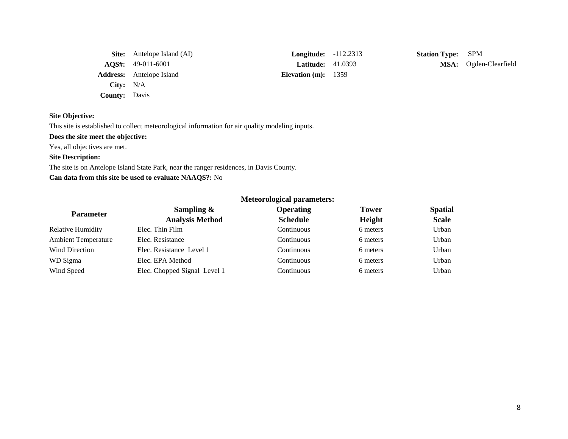|                      | <b>Site:</b> Antelope Island (AI) | <b>Longitude:</b> -112.2313 |  |
|----------------------|-----------------------------------|-----------------------------|--|
|                      | $AQS\#: 49-011-6001$              | <b>Latitude:</b> 41.0393    |  |
|                      | <b>Address:</b> Antelope Island   | Elevation $(m): 1359$       |  |
| City: $N/A$          |                                   |                             |  |
| <b>County:</b> Davis |                                   |                             |  |

**Station Type:** SPM **MSA:** Ogden-Clearfield

# **Site Objective:**

This site is established to collect meteorological information for air quality modeling inputs.

# **Does the site meet the objective:**

Yes, all objectives are met.

# **Site Description:**

The site is on Antelope Island State Park, near the ranger residences, in Davis County.

# **Can data from this site be used to evaluate NAAQS?:** No

| <b>Parameter</b>           | Sampling $\&$                | <b>Operating</b> | <b>Tower</b> | <b>Spatial</b> |
|----------------------------|------------------------------|------------------|--------------|----------------|
|                            | <b>Analysis Method</b>       | <b>Schedule</b>  | Height       | <b>Scale</b>   |
| <b>Relative Humidity</b>   | Elec. Thin Film              | Continuous       | 6 meters     | Urban          |
| <b>Ambient Temperature</b> | Elec. Resistance             | Continuous       | 6 meters     | Urban          |
| Wind Direction             | Elec. Resistance Level 1     | Continuous       | 6 meters     | Urban          |
| WD Sigma                   | Elec. EPA Method             | Continuous       | 6 meters     | Urban          |
| Wind Speed                 | Elec. Chopped Signal Level 1 | Continuous       | 6 meters     | Urban          |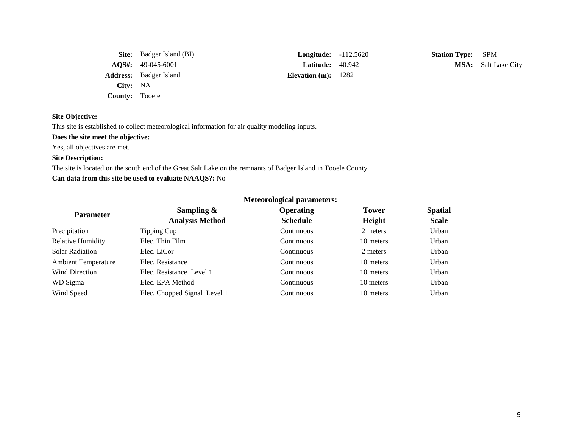|                       | <b>Site:</b> Badger Island (BI)       | <b>Longitude:</b> $-112.5620$ |  |
|-----------------------|---------------------------------------|-------------------------------|--|
|                       | $\textbf{AOS}_{4}: \quad 49-045-6001$ | <b>Latitude:</b> $40.942$     |  |
|                       | <b>Address:</b> Badger Island         | Elevation $(m)$ : 1282        |  |
| City: NA              |                                       |                               |  |
| <b>County:</b> Tooele |                                       |                               |  |

**Station Type:** SPM **MSA:** Salt Lake City

### **Site Objective:**

This site is established to collect meteorological information for air quality modeling inputs.

# **Does the site meet the objective:**

Yes, all objectives are met.

# **Site Description:**

The site is located on the south end of the Great Salt Lake on the remnants of Badger Island in Tooele County.

# **Can data from this site be used to evaluate NAAQS?:** No

| <b>Parameter</b>           | Sampling $\&$                | <b>Operating</b> | <b>Tower</b> | <b>Spatial</b> |
|----------------------------|------------------------------|------------------|--------------|----------------|
|                            | <b>Analysis Method</b>       | <b>Schedule</b>  | Height       | <b>Scale</b>   |
| Precipitation              | Tipping Cup                  | Continuous       | 2 meters     | Urban          |
| <b>Relative Humidity</b>   | Elec. Thin Film              | Continuous       | 10 meters    | Urban          |
| <b>Solar Radiation</b>     | Elec. LiCor                  | Continuous       | 2 meters     | Urban          |
| <b>Ambient Temperature</b> | Elec. Resistance             | Continuous       | 10 meters    | Urban          |
| Wind Direction             | Elec. Resistance Level 1     | Continuous       | 10 meters    | Urban          |
| WD Sigma                   | Elec. EPA Method             | Continuous       | 10 meters    | Urban          |
| Wind Speed                 | Elec. Chopped Signal Level 1 | Continuous       | 10 meters    | Urban          |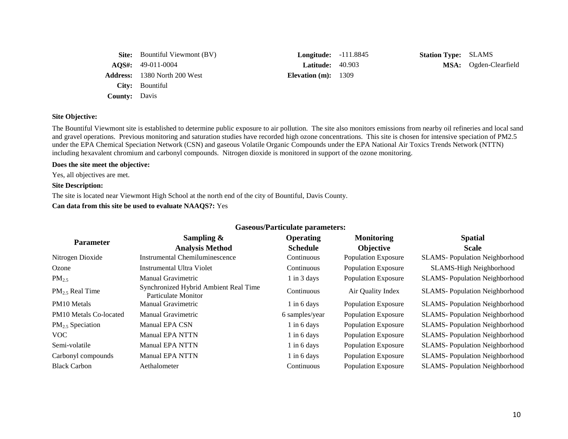|                      | <b>Site:</b> Bountiful Viewmont (BV) | <b>Longitude:</b> -111.8845 | <b>Station Type: SLAMS</b> |                       |
|----------------------|--------------------------------------|-----------------------------|----------------------------|-----------------------|
|                      | $\text{AOS}_{4}: 49-011-0004$        | <b>Latitude:</b> $40.903$   |                            | MSA: Ogden-Clearfield |
|                      | <b>Address:</b> 1380 North 200 West  | Elevation $(m): 1309$       |                            |                       |
|                      | City: Bountiful                      |                             |                            |                       |
| <b>County:</b> Davis |                                      |                             |                            |                       |

The Bountiful Viewmont site is established to determine public exposure to air pollution. The site also monitors emissions from nearby oil refineries and local sand and gravel operations. Previous monitoring and saturation studies have recorded high ozone concentrations. This site is chosen for intensive speciation of PM2.5 under the EPA Chemical Speciation Network (CSN) and gaseous Volatile Organic Compounds under the EPA National Air Toxics Trends Network (NTTN) including hexavalent chromium and carbonyl compounds. Nitrogen dioxide is monitored in support of the ozone monitoring.

#### **Does the site meet the objective:**

Yes, all objectives are met.

#### **Site Description:**

The site is located near Viewmont High School at the north end of the city of Bountiful, Davis County.

### **Can data from this site be used to evaluate NAAQS?:** Yes

|                               |                                                              | Gaseous/1 al ticulate parameters. |                            |                                      |
|-------------------------------|--------------------------------------------------------------|-----------------------------------|----------------------------|--------------------------------------|
| <b>Parameter</b>              | Sampling $\&$                                                | <b>Operating</b>                  | <b>Monitoring</b>          | <b>Spatial</b>                       |
|                               | <b>Analysis Method</b>                                       | <b>Schedule</b>                   | <b>Objective</b>           | <b>Scale</b>                         |
| Nitrogen Dioxide              | Instrumental Chemiluminescence                               | Continuous                        | <b>Population Exposure</b> | <b>SLAMS-Population Neighborhood</b> |
| Ozone                         | Instrumental Ultra Violet                                    | Continuous                        | <b>Population Exposure</b> | SLAMS-High Neighborhood              |
| $PM_{2.5}$                    | Manual Gravimetric                                           | $1$ in $3$ days                   | <b>Population Exposure</b> | <b>SLAMS-Population Neighborhood</b> |
| $PM_2$ , Real Time            | Synchronized Hybrid Ambient Real Time<br>Particulate Monitor | Continuous                        | Air Quality Index          | <b>SLAMS-Population Neighborhood</b> |
| PM <sub>10</sub> Metals       | Manual Gravimetric                                           | $1$ in 6 days                     | <b>Population Exposure</b> | <b>SLAMS-Population Neighborhood</b> |
| <b>PM10</b> Metals Co-located | Manual Gravimetric                                           | 6 samples/year                    | <b>Population Exposure</b> | <b>SLAMS-Population Neighborhood</b> |
| $PM_{2.5}$ Speciation         | Manual EPA CSN                                               | $1$ in 6 days                     | <b>Population Exposure</b> | <b>SLAMS-Population Neighborhood</b> |
| <b>VOC</b>                    | <b>Manual EPA NTTN</b>                                       | $1$ in 6 days                     | <b>Population Exposure</b> | <b>SLAMS-Population Neighborhood</b> |
| Semi-volatile                 | <b>Manual EPA NTTN</b>                                       | $1$ in 6 days                     | <b>Population Exposure</b> | <b>SLAMS-Population Neighborhood</b> |
| Carbonyl compounds            | <b>Manual EPA NTTN</b>                                       | $1$ in 6 days                     | <b>Population Exposure</b> | <b>SLAMS-Population Neighborhood</b> |
| <b>Black Carbon</b>           | Aethalometer                                                 | Continuous                        | <b>Population Exposure</b> | <b>SLAMS-Population Neighborhood</b> |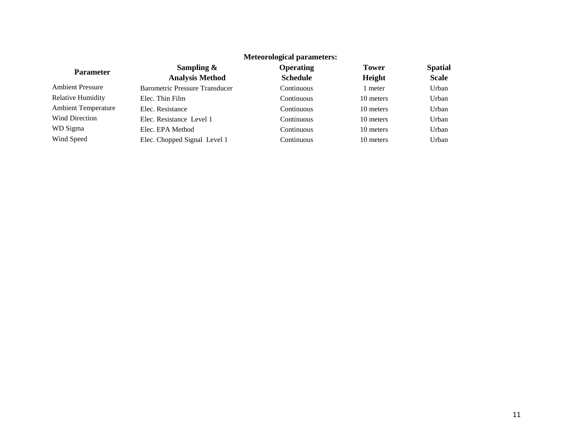|                            | <b>NIELEOFOIOGICAL DATAMETERS:</b>    |                  |              |                |
|----------------------------|---------------------------------------|------------------|--------------|----------------|
| <b>Parameter</b>           | Sampling $\&$                         | <b>Operating</b> | <b>Tower</b> | <b>Spatial</b> |
|                            | <b>Analysis Method</b>                | <b>Schedule</b>  | Height       | <b>Scale</b>   |
| <b>Ambient Pressure</b>    | <b>Barometric Pressure Transducer</b> | Continuous       | 1 meter      | Urban          |
| <b>Relative Humidity</b>   | Elec. Thin Film                       | Continuous       | 10 meters    | Urban          |
| <b>Ambient Temperature</b> | Elec. Resistance                      | Continuous       | 10 meters    | Urban          |
| <b>Wind Direction</b>      | Elec. Resistance Level 1              | Continuous       | 10 meters    | Urban          |
| WD Sigma                   | Elec. EPA Method                      | Continuous       | 10 meters    | Urban          |
| Wind Speed                 | Elec. Chopped Signal Level 1          | Continuous       | 10 meters    | Urban          |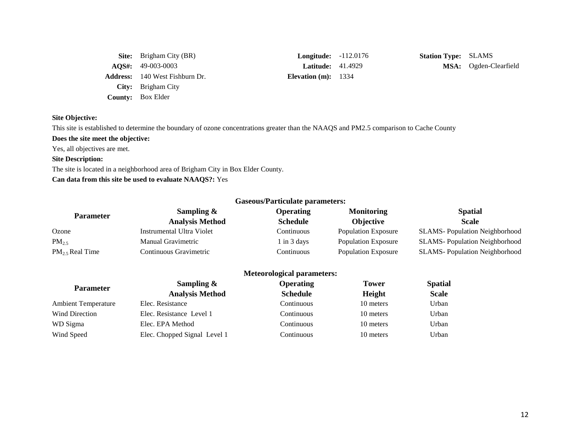| <b>Site:</b> Brigham City (BR)        | <b>Longitude:</b> $-112$ . |  |
|---------------------------------------|----------------------------|--|
| $\textbf{AOS}_{4}: 49-003-0003$       | <b>Latitude:</b> $41.49$   |  |
| <b>Address:</b> 140 West Fishburn Dr. | Elevation $(m)$ : 1334     |  |
| City: Brigham City                    |                            |  |
| <b>County:</b> Box Elder              |                            |  |

**Station Type:** SLAMS **AQS#:** 49-003-0003 **Latitude:** 41.4929 **MSA:** Ogden-Clearfield

# **Site Objective:**

This site is established to determine the boundary of ozone concentrations greater than the NAAQS and PM2.5 comparison to Cache County

# **Does the site meet the objective:**

Yes, all objectives are met.

## **Site Description:**

The site is located in a neighborhood area of Brigham City in Box Elder County.

# **Can data from this site be used to evaluate NAAQS?:** Yes

|                      |                           | <b>Gaseous/Particulate parameters:</b> |                            |                                      |
|----------------------|---------------------------|----------------------------------------|----------------------------|--------------------------------------|
| <b>Parameter</b>     | Sampling $\&$             | <b>Operating</b>                       | <b>Monitoring</b>          | <b>Spatial</b>                       |
|                      | <b>Analysis Method</b>    | <b>Schedule</b>                        | <b>Objective</b>           | <b>Scale</b>                         |
| Ozone                | Instrumental Ultra Violet | Continuous                             | Population Exposure        | <b>SLAMS-Population Neighborhood</b> |
| $PM_{2.5}$           | Manual Gravimetric        | 1 in 3 days                            | <b>Population Exposure</b> | <b>SLAMS-Population Neighborhood</b> |
| $PM_{2.5}$ Real Time | Continuous Gravimetric    | Continuous                             | Population Exposure        | <b>SLAMS-Population Neighborhood</b> |

| <b>Parameter</b>           | Sampling $\&$                | <b>Operating</b>  | <b>Tower</b> | <b>Spatial</b> |
|----------------------------|------------------------------|-------------------|--------------|----------------|
|                            | <b>Analysis Method</b>       | <b>Schedule</b>   | Height       | <b>Scale</b>   |
| <b>Ambient Temperature</b> | Elec. Resistance             | Continuous        | 10 meters    | Urban          |
| <b>Wind Direction</b>      | Elec. Resistance Level 1     | Continuous        | 10 meters    | Urban          |
| WD Sigma                   | Elec. EPA Method             | <b>Continuous</b> | 10 meters    | Urban          |
| Wind Speed                 | Elec. Chopped Signal Level 1 | <b>Continuous</b> | 10 meters    | Urban          |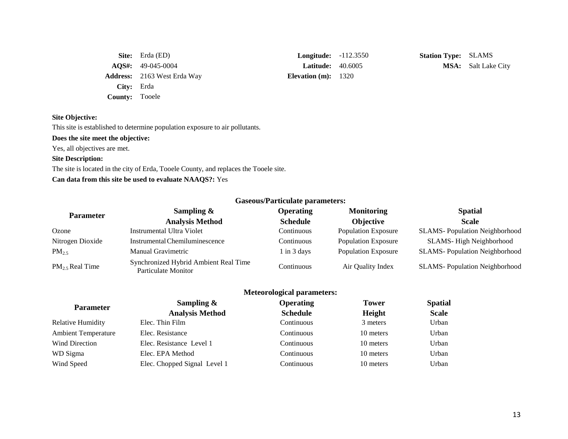|                       | <b>Site:</b> Erda $(ED)$              | <b>Longitude:</b> $-112.3$ |  |
|-----------------------|---------------------------------------|----------------------------|--|
|                       | $\textbf{AOS}_{1}: \quad 49-045-0004$ | Latitude: 40.60            |  |
|                       | <b>Address:</b> 2163 West Erda Way    | Elevation $(m): 1320$      |  |
| City: Erda            |                                       |                            |  |
| <b>County:</b> Tooele |                                       |                            |  |

**Longitude:**  $-112.3550$  **Station Type:** SLAMS

**Latitude:** 40.6005 **MSA:** Salt Lake City

### **Site Objective:**

This site is established to determine population exposure to air pollutants.

# **Does the site meet the objective:**

Yes, all objectives are met.

#### **Site Description:**

The site is located in the city of Erda, Tooele County, and replaces the Tooele site.

# **Can data from this site be used to evaluate NAAQS?:** Yes

| Gascous/I al ticulate parameters. |                                                              |                  |                            |                                      |
|-----------------------------------|--------------------------------------------------------------|------------------|----------------------------|--------------------------------------|
| <b>Parameter</b>                  | Sampling $\&$                                                | <b>Operating</b> | <b>Monitoring</b>          | <b>Spatial</b>                       |
|                                   | <b>Analysis Method</b>                                       | <b>Schedule</b>  | <b>Objective</b>           | <b>Scale</b>                         |
| Ozone                             | Instrumental Ultra Violet                                    | Continuous       | <b>Population Exposure</b> | <b>SLAMS-Population Neighborhood</b> |
| Nitrogen Dioxide                  | Instrumental Chemiluminescence                               | Continuous       | <b>Population Exposure</b> | SLAMS-High Neighborhood              |
| $PM_{2.5}$                        | Manual Gravimetric                                           | 1 in 3 days      | <b>Population Exposure</b> | <b>SLAMS-Population Neighborhood</b> |
| $PM_2$ , Real Time                | Synchronized Hybrid Ambient Real Time<br>Particulate Monitor | Continuous       | Air Quality Index          | <b>SLAMS-Population Neighborhood</b> |

|                            | <b>Meteorological parameters:</b> |                  |              |                |
|----------------------------|-----------------------------------|------------------|--------------|----------------|
| <b>Parameter</b>           | Sampling $\&$                     | <b>Operating</b> | <b>Tower</b> | <b>Spatial</b> |
|                            | <b>Analysis Method</b>            | <b>Schedule</b>  | Height       | <b>Scale</b>   |
| Relative Humidity          | Elec. Thin Film                   | Continuous       | 3 meters     | Urban          |
| <b>Ambient Temperature</b> | Elec. Resistance                  | Continuous       | 10 meters    | Urban          |
| <b>Wind Direction</b>      | Elec. Resistance Level 1          | Continuous       | 10 meters    | Urban          |
| WD Sigma                   | Elec. EPA Method                  | Continuous       | 10 meters    | Urban          |
| Wind Speed                 | Elec. Chopped Signal Level 1      | Continuous       | 10 meters    | Urban          |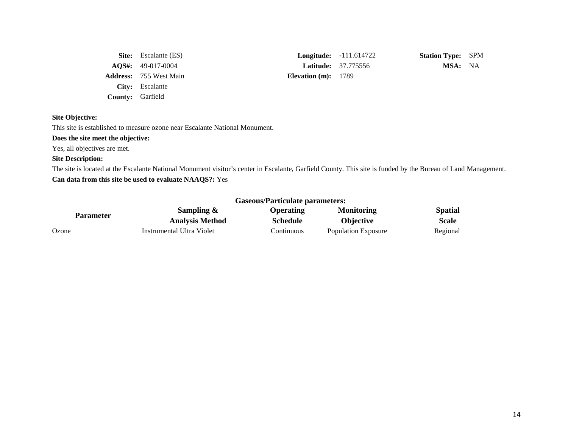|                         | <b>Site:</b> Escalante (ES)     |                       | <b>Longitude:</b> $-111.614722$ | <b>Station Type: SPM</b> |  |
|-------------------------|---------------------------------|-----------------------|---------------------------------|--------------------------|--|
|                         | $\textbf{AOS}_{4}: 49-017-0004$ |                       | <b>Latitude:</b> 37.775556      | MSA: NA                  |  |
|                         | <b>Address:</b> 755 West Main   | Elevation $(m): 1789$ |                                 |                          |  |
|                         | <b>City:</b> Escalante          |                       |                                 |                          |  |
| <b>County:</b> Garfield |                                 |                       |                                 |                          |  |

This site is established to measure ozone near Escalante National Monument.

# **Does the site meet the objective:**

Yes, all objectives are met.

## **Site Description:**

The site is located at the Escalante National Monument visitor's center in Escalante, Garfield County. This site is funded by the Bureau of Land Management. **Can data from this site be used to evaluate NAAQS?:** Yes

|                  | Gaseous/Farticulate parameters: |                  |                            |                |
|------------------|---------------------------------|------------------|----------------------------|----------------|
|                  | Sampling $\&$                   | <b>Operating</b> | <b>Monitoring</b>          | <b>Spatial</b> |
| <b>Parameter</b> | <b>Analysis Method</b>          | <b>Schedule</b>  | <b>Objective</b>           | <b>Scale</b>   |
| Ozone            | Instrumental Ultra Violet       | Continuous       | <b>Population Exposure</b> | Regional       |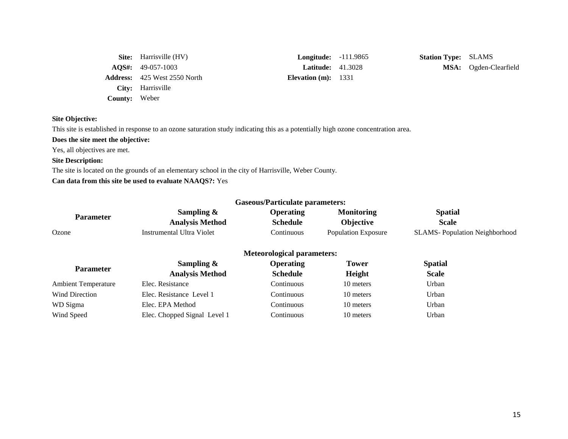|                      | <b>Site:</b> Harrisville (HV)       | Long             |
|----------------------|-------------------------------------|------------------|
|                      | $AOS\#: 49-057-1003$                | Lat              |
|                      | <b>Address:</b> 425 West 2550 North | <b>Elevation</b> |
|                      | City: Harrisville                   |                  |
| <b>County:</b> Weber |                                     |                  |

 $\mathbf{m}(\mathbf{m}): 1331$ 

**Site:** Harrisville (HV) **Longitude:** -111.9865 **Station Type:** SLAMS **ACCES 41.3028 MSA:** Ogden-Clearfield

# **Site Objective:**

This site is established in response to an ozone saturation study indicating this as a potentially high ozone concentration area.

# **Does the site meet the objective:**

Yes, all objectives are met.

# **Site Description:**

The site is located on the grounds of an elementary school in the city of Harrisville, Weber County.

# **Can data from this site be used to evaluate NAAQS?:** Yes

|                            |                                  | Gaseous/Particulate parameters:   |                            |                                      |
|----------------------------|----------------------------------|-----------------------------------|----------------------------|--------------------------------------|
| <b>Parameter</b>           | Sampling $\&$                    | <b>Operating</b>                  | <b>Monitoring</b>          | <b>Spatial</b>                       |
|                            | <b>Analysis Method</b>           | <b>Schedule</b>                   | Objective                  | <b>Scale</b>                         |
| Ozone                      | <b>Instrumental Ultra Violet</b> | Continuous                        | <b>Population Exposure</b> | <b>SLAMS-Population Neighborhood</b> |
|                            |                                  | <b>Meteorological parameters:</b> |                            |                                      |
| <b>Parameter</b>           | Sampling $\&$                    | <b>Operating</b>                  | <b>Tower</b>               | <b>Spatial</b>                       |
|                            | <b>Analysis Method</b>           | <b>Schedule</b>                   | Height                     | <b>Scale</b>                         |
| <b>Ambient Temperature</b> | Elec. Resistance                 | Continuous                        | 10 meters                  | Urban                                |
| Wind Direction             | Elec. Resistance Level 1         | Continuous                        | 10 meters                  | Urban                                |
| WD Sigma                   | Elec. EPA Method                 | Continuous                        | 10 meters                  | Urban                                |
| Wind Speed                 | Elec. Chopped Signal Level 1     | Continuous                        | 10 meters                  | Urban                                |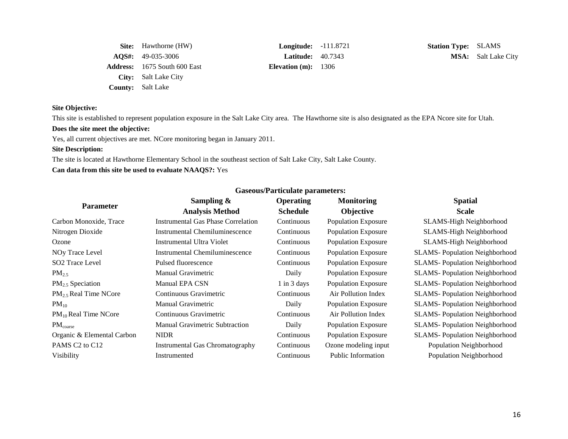| <b>Site:</b> Hawthorne (HW)         | Longit    |
|-------------------------------------|-----------|
| $AQS\#: 49-035-3006$                | Latit     |
| <b>Address:</b> 1675 South 600 East | Elevation |
| City: Salt Lake City                |           |
| <b>County:</b> Salt Lake            |           |

**(m):** 1306

**Station Type:** SLAMS **ACCES 40.7343 MSA:** Salt Lake City

# **Site Objective:**

This site is established to represent population exposure in the Salt Lake City area. The Hawthorne site is also designated as the EPA Ncore site for Utah.

# **Does the site meet the objective:**

Yes, all current objectives are met. NCore monitoring began in January 2011.

# **Site Description:**

The site is located at Hawthorne Elementary School in the southeast section of Salt Lake City, Salt Lake County.

# **Can data from this site be used to evaluate NAAQS?:** Yes

| <b>Parameter</b>                       | Sampling $\&$                             | <b>Operating</b> | <b>Monitoring</b>          | <b>Spatial</b>                        |
|----------------------------------------|-------------------------------------------|------------------|----------------------------|---------------------------------------|
|                                        | <b>Analysis Method</b>                    | <b>Schedule</b>  | <b>Objective</b>           | <b>Scale</b>                          |
| Carbon Monoxide, Trace                 | <b>Instrumental Gas Phase Correlation</b> | Continuous       | <b>Population Exposure</b> | SLAMS-High Neighborhood               |
| Nitrogen Dioxide                       | <b>Instrumental Chemiluminescence</b>     | Continuous       | <b>Population Exposure</b> | SLAMS-High Neighborhood               |
| Ozone                                  | Instrumental Ultra Violet                 | Continuous       | Population Exposure        | SLAMS-High Neighborhood               |
| NOy Trace Level                        | Instrumental Chemiluminescence            | Continuous       | <b>Population Exposure</b> | <b>SLAMS</b> -Population Neighborhood |
| SO <sub>2</sub> Trace Level            | Pulsed fluorescence                       | Continuous       | <b>Population Exposure</b> | <b>SLAMS</b> -Population Neighborhood |
| $PM_{2.5}$                             | Manual Gravimetric                        | Daily            | <b>Population Exposure</b> | <b>SLAMS-Population Neighborhood</b>  |
| $PM2.5$ Speciation                     | Manual EPA CSN                            | $\ln 3$ days     | <b>Population Exposure</b> | <b>SLAMS</b> -Population Neighborhood |
| $PM_2$ , Real Time NCore               | Continuous Gravimetric                    | Continuous       | Air Pollution Index        | <b>SLAMS</b> -Population Neighborhood |
| $PM_{10}$                              | <b>Manual Gravimetric</b>                 | Daily            | <b>Population Exposure</b> | <b>SLAMS-Population Neighborhood</b>  |
| $PM_{10}$ Real Time NCore              | Continuous Gravimetric                    | Continuous       | Air Pollution Index        | <b>SLAMS-Population Neighborhood</b>  |
| $PM_{\rm coarse}$                      | <b>Manual Gravimetric Subtraction</b>     | Daily            | <b>Population Exposure</b> | <b>SLAMS-Population Neighborhood</b>  |
| Organic & Elemental Carbon             | <b>NIDR</b>                               | Continuous       | <b>Population Exposure</b> | <b>SLAMS</b> -Population Neighborhood |
| PAMS C <sub>2</sub> to C <sub>12</sub> | Instrumental Gas Chromatography           | Continuous       | Ozone modeling input       | Population Neighborhood               |
| Visibility                             | Instrumented                              | Continuous       | <b>Public Information</b>  | Population Neighborhood               |
|                                        |                                           |                  |                            |                                       |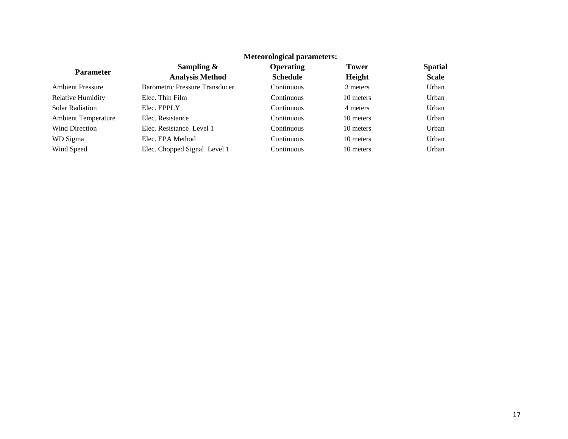|                            |                                       | Meteorological parameters: |              |                |
|----------------------------|---------------------------------------|----------------------------|--------------|----------------|
| <b>Parameter</b>           | Sampling $\&$                         | <b>Operating</b>           | <b>Tower</b> | <b>Spatial</b> |
|                            | <b>Analysis Method</b>                | <b>Schedule</b>            | Height       | <b>Scale</b>   |
| <b>Ambient Pressure</b>    | <b>Barometric Pressure Transducer</b> | Continuous                 | 3 meters     | Urban          |
| <b>Relative Humidity</b>   | Elec. Thin Film                       | Continuous                 | 10 meters    | Urban          |
| Solar Radiation            | Elec. EPPLY                           | Continuous                 | 4 meters     | Urban          |
| <b>Ambient Temperature</b> | Elec. Resistance                      | Continuous                 | 10 meters    | Urban          |
| <b>Wind Direction</b>      | Elec. Resistance Level 1              | Continuous                 | 10 meters    | Urban          |
| WD Sigma                   | Elec. EPA Method                      | Continuous                 | 10 meters    | Urban          |
| Wind Speed                 | Elec. Chopped Signal Level 1          | Continuous                 | 10 meters    | Urban          |
|                            |                                       |                            |              |                |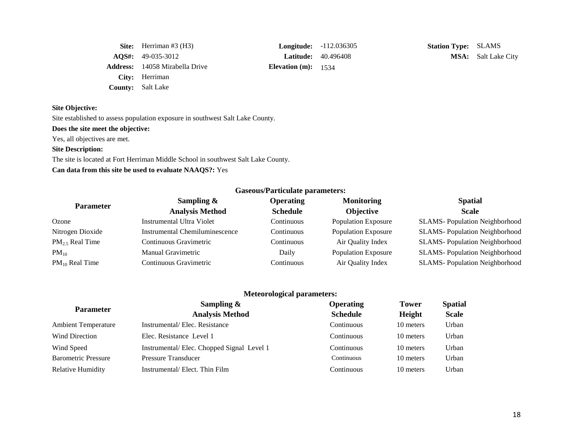| <b>Site:</b> Herriman #3 $(H3)$       | <b>Longitude:</b> $-112$ . |  |
|---------------------------------------|----------------------------|--|
| $AOS\#: 49-035-3012$                  | <b>Latitude:</b> 40.49     |  |
| <b>Address:</b> 14058 Mirabella Drive | Elevation $(m): 1534$      |  |
| City: Herriman                        |                            |  |
| <b>County:</b> Salt Lake              |                            |  |

**Station Type:** SLAMS **ALCOMERGE:** 40.496408 **MSA:** Salt Lake City

# **Site Objective:**

Site established to assess population exposure in southwest Salt Lake County.

#### **Does the site meet the objective:**

Yes, all objectives are met.

# **Site Description:**

The site is located at Fort Herriman Middle School in southwest Salt Lake County. **Can data from this site be used to evaluate NAAQS?:** Yes

|                             |                                | <b>Gaseous/Particulate parameters:</b> |                            |                                      |
|-----------------------------|--------------------------------|----------------------------------------|----------------------------|--------------------------------------|
| <b>Parameter</b>            | Sampling $\&$                  | <b>Operating</b>                       | <b>Monitoring</b>          | <b>Spatial</b>                       |
|                             | <b>Analysis Method</b>         | <b>Schedule</b>                        | <b>Objective</b>           | <b>Scale</b>                         |
| Ozone                       | Instrumental Ultra Violet      | Continuous                             | <b>Population Exposure</b> | <b>SLAMS-Population Neighborhood</b> |
| Nitrogen Dioxide            | Instrumental Chemiluminescence | Continuous                             | <b>Population Exposure</b> | <b>SLAMS-Population Neighborhood</b> |
| PM <sub>2.5</sub> Real Time | Continuous Gravimetric         | Continuous                             | Air Quality Index          | <b>SLAMS-Population Neighborhood</b> |
| $PM_{10}$                   | Manual Gravimetric             | Daily                                  | <b>Population Exposure</b> | <b>SLAMS-Population Neighborhood</b> |
| $PM_{10}$ Real Time         | Continuous Gravimetric         | Continuous                             | Air Quality Index          | <b>SLAMS-Population Neighborhood</b> |

| <b>Parameter</b>           | Sampling $\&$                             | <b>Operating</b> | <b>Tower</b> | <b>Spatial</b> |
|----------------------------|-------------------------------------------|------------------|--------------|----------------|
|                            | <b>Analysis Method</b>                    | <b>Schedule</b>  | Height       | <b>Scale</b>   |
| <b>Ambient Temperature</b> | Instrumental/Elec. Resistance             | Continuous       | 10 meters    | Urban          |
| Wind Direction             | Elec. Resistance Level 1                  | Continuous       | 10 meters    | Urban          |
| Wind Speed                 | Instrumental/Elec. Chopped Signal Level 1 | Continuous       | 10 meters    | Urban          |
| <b>Barometric Pressure</b> | <b>Pressure Transducer</b>                | Continuous       | 10 meters    | Urban          |
| <b>Relative Humidity</b>   | Instrumental/Elect. Thin Film             | Continuous       | 10 meters    | Urban          |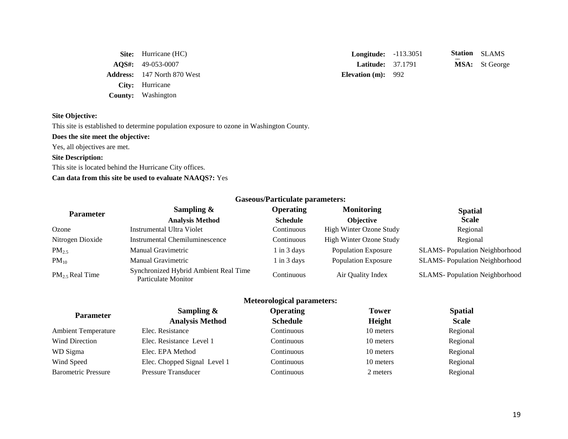**Address:** 147 North 870 West **Elevation (m):** 992 **City:** Hurricane **County:** Washington

**Site:** Hurricane (HC) **Longitude:** -113.3051 **AQS#:** 49-053-0007 **Latitude:** 37.1791 **MSA:** St George Station SLAMS

#### **Site Objective:**

This site is established to determine population exposure to ozone in Washington County.

**Does the site meet the objective:**

Yes, all objectives are met.

#### **Site Description:**

This site is located behind the Hurricane City offices.

# **Can data from this site be used to evaluate NAAQS?:** Yes

| Gascous/1 al ticalate parameters. |                                                              |                  |                            |                                      |
|-----------------------------------|--------------------------------------------------------------|------------------|----------------------------|--------------------------------------|
| <b>Parameter</b>                  | Sampling $\&$                                                | <b>Operating</b> | <b>Monitoring</b>          | <b>Spatial</b>                       |
|                                   | <b>Analysis Method</b>                                       | <b>Schedule</b>  | <b>Objective</b>           | <b>Scale</b>                         |
| Ozone                             | Instrumental Ultra Violet                                    | Continuous       | High Winter Ozone Study    | Regional                             |
| Nitrogen Dioxide                  | Instrumental Chemiluminescence                               | Continuous       | High Winter Ozone Study    | Regional                             |
| $PM_{2.5}$                        | Manual Gravimetric                                           | $1$ in $3$ days  | <b>Population Exposure</b> | <b>SLAMS-Population Neighborhood</b> |
| $PM_{10}$                         | <b>Manual Gravimetric</b>                                    | $1$ in $3$ days  | <b>Population Exposure</b> | <b>SLAMS-Population Neighborhood</b> |
| $PM_2$ , Real Time                | Synchronized Hybrid Ambient Real Time<br>Particulate Monitor | Continuous       | Air Quality Index          | <b>SLAMS-Population Neighborhood</b> |

# **Meteorological parameters:**

| <b>Parameter</b>           | Sampling $\&$                | <b>Operating</b> | <b>Tower</b>  | <b>Spatial</b> |
|----------------------------|------------------------------|------------------|---------------|----------------|
|                            | <b>Analysis Method</b>       | <b>Schedule</b>  | <b>Height</b> | <b>Scale</b>   |
| <b>Ambient Temperature</b> | Elec. Resistance             | Continuous       | 10 meters     | Regional       |
| <b>Wind Direction</b>      | Elec. Resistance Level 1     | Continuous       | 10 meters     | Regional       |
| WD Sigma                   | Elec. EPA Method             | Continuous       | 10 meters     | Regional       |
| Wind Speed                 | Elec. Chopped Signal Level 1 | Continuous       | 10 meters     | Regional       |
| <b>Barometric Pressure</b> | <b>Pressure Transducer</b>   | Continuous       | 2 meters      | Regional       |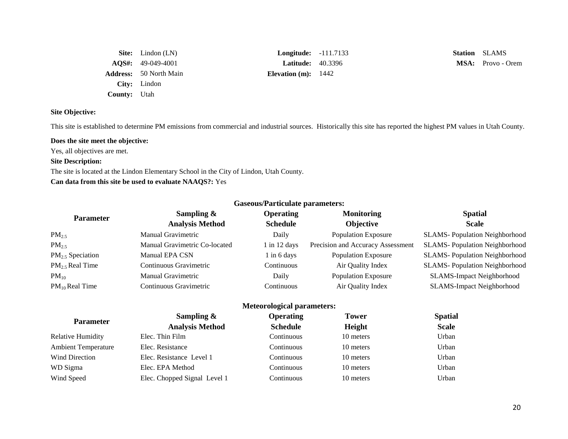|                     | <b>Site:</b> Lindon (LN)      | <b>Longitude:</b> -111.7133 |  |
|---------------------|-------------------------------|-----------------------------|--|
|                     | AQS#: 49-049-4001             | <b>Latitude:</b> $40.3396$  |  |
|                     | <b>Address:</b> 50 North Main | Elevation (m): $1442$       |  |
|                     | City: Lindon                  |                             |  |
| <b>County:</b> Utah |                               |                             |  |

**Station SLAMS MSA:** Provo - Orem

# **Site Objective:**

This site is established to determine PM emissions from commercial and industrial sources. Historically this site has reported the highest PM values in Utah County.

# **Does the site meet the objective:**

Yes, all objectives are met.

# **Site Description:**

The site is located at the Lindon Elementary School in the City of Lindon, Utah County. **Can data from this site be used to evaluate NAAQS?:** Yes

| <b>Gaseous/Particulate parameters:</b> |                                         |                                     |                                       |                                      |
|----------------------------------------|-----------------------------------------|-------------------------------------|---------------------------------------|--------------------------------------|
| <b>Parameter</b>                       | Sampling $\&$<br><b>Analysis Method</b> | <b>Operating</b><br><b>Schedule</b> | <b>Monitoring</b><br><b>Objective</b> | <b>Spatial</b><br><b>Scale</b>       |
| $PM_{2.5}$                             | Manual Gravimetric                      | Daily                               | <b>Population Exposure</b>            | <b>SLAMS-Population Neighborhood</b> |
| $PM_{2.5}$                             | Manual Gravimetric Co-located           | $1$ in 12 days                      | Precision and Accuracy Assessment     | <b>SLAMS-Population Neighborhood</b> |
| $PM_{2.5}$ Speciation                  | Manual EPA CSN                          | $1$ in 6 days                       | <b>Population Exposure</b>            | <b>SLAMS-Population Neighborhood</b> |
| PM <sub>2.5</sub> Real Time            | Continuous Gravimetric                  | Continuous                          | Air Quality Index                     | <b>SLAMS-Population Neighborhood</b> |
| $PM_{10}$                              | <b>Manual Gravimetric</b>               | Daily                               | <b>Population Exposure</b>            | <b>SLAMS-Impact Neighborhood</b>     |
| $PM_{10}$ Real Time                    | Continuous Gravimetric                  | Continuous                          | Air Quality Index                     | <b>SLAMS-Impact Neighborhood</b>     |
| <b>Meteorological parameters:</b>      |                                         |                                     |                                       |                                      |

|                            | Sampling $\&$                | <b>Operating</b> | <b>Tower</b> | <b>Spatial</b> |
|----------------------------|------------------------------|------------------|--------------|----------------|
| <b>Parameter</b>           | <b>Analysis Method</b>       | <b>Schedule</b>  | Height       | <b>Scale</b>   |
| <b>Relative Humidity</b>   | Elec. Thin Film              | Continuous       | 10 meters    | Urban          |
| <b>Ambient Temperature</b> | Elec. Resistance             | Continuous       | 10 meters    | Urban          |
| <b>Wind Direction</b>      | Elec. Resistance Level 1     | Continuous       | 10 meters    | Urban          |
| WD Sigma                   | Elec. EPA Method             | Continuous       | 10 meters    | Urban          |
| Wind Speed                 | Elec. Chopped Signal Level 1 | Continuous       | 10 meters    | Urban          |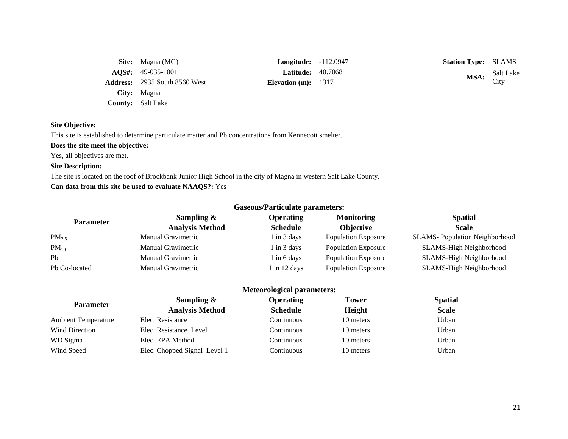| <b>Site:</b> Magna (MG)              | <b>Longitude:</b> $-112.0$ |  |
|--------------------------------------|----------------------------|--|
| $AOS\#: 49-035-1001$                 | <b>Latitude:</b> $40.70$   |  |
| <b>Address:</b> 2935 South 8560 West | Elevation $(m)$ : 1317     |  |
| City: Magna                          |                            |  |
| <b>County:</b> Salt Lake             |                            |  |

**Longitude:** -112.0947 **Station Type:** SLAMS **Latitude:** 40.7068

**MSA:** Salt Lake City

# **Site Objective:**

This site is established to determine particulate matter and Pb concentrations from Kennecott smelter.

**Does the site meet the objective:**

Yes, all objectives are met.

# **Site Description:**

The site is located on the roof of Brockbank Junior High School in the city of Magna in western Salt Lake County.

**Can data from this site be used to evaluate NAAQS?:** Yes

| Gascous/1 al ticulate parameters. |                           |                  |                            |                                      |
|-----------------------------------|---------------------------|------------------|----------------------------|--------------------------------------|
| <b>Parameter</b>                  | Sampling $\&$             | <b>Operating</b> | <b>Monitoring</b>          | <b>Spatial</b>                       |
|                                   | <b>Analysis Method</b>    | <b>Schedule</b>  | <b>Objective</b>           | <b>Scale</b>                         |
| $PM_{2.5}$                        | Manual Gravimetric        | 1 in 3 days      | <b>Population Exposure</b> | <b>SLAMS-Population Neighborhood</b> |
| $PM_{10}$                         | <b>Manual Gravimetric</b> | 1 in 3 days      | <b>Population Exposure</b> | SLAMS-High Neighborhood              |
| P <sub>b</sub>                    | Manual Gravimetric        | l in 6 days      | <b>Population Exposure</b> | SLAMS-High Neighborhood              |
| Pb Co-located                     | Manual Gravimetric        | $1$ in 12 days   | <b>Population Exposure</b> | SLAMS-High Neighborhood              |

# **Meteorological parameters:**

| <b>Parameter</b>           | Sampling $\&$                | <b>Operating</b> | <b>Tower</b> | <b>Spatial</b> |
|----------------------------|------------------------------|------------------|--------------|----------------|
|                            | <b>Analysis Method</b>       | <b>Schedule</b>  | Height       | <b>Scale</b>   |
| <b>Ambient Temperature</b> | Elec. Resistance             | Continuous       | 10 meters    | Urban          |
| <b>Wind Direction</b>      | Elec. Resistance Level 1     | Continuous       | 10 meters    | Urban          |
| WD Sigma                   | Elec. EPA Method             | Continuous       | 10 meters    | Urban          |
| Wind Speed                 | Elec. Chopped Signal Level 1 | Continuous       | 10 meters    | Urban          |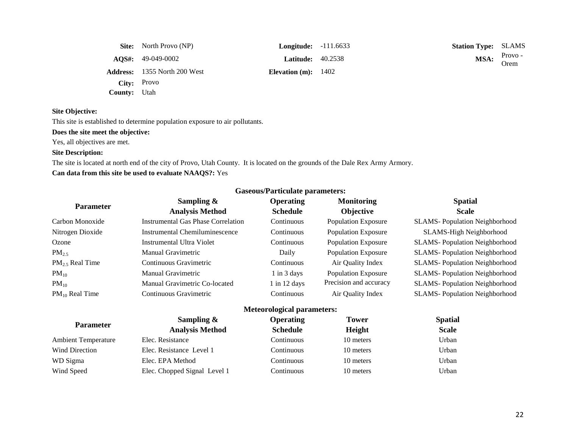|                     | <b>Site:</b> North Provo (NP)       | <b>Longitude:</b> $-111.6633$ | <b>Station Type: SLAMS</b> |                 |
|---------------------|-------------------------------------|-------------------------------|----------------------------|-----------------|
|                     | $\text{AOS}_{4}: 49-049-0002$       | <b>Latitude:</b> 40.2538      | MSA:                       | Provo -<br>Orem |
|                     | <b>Address:</b> 1355 North 200 West | Elevation (m): $1402$         |                            |                 |
|                     | City: Provo                         |                               |                            |                 |
| <b>County:</b> Utah |                                     |                               |                            |                 |

This site is established to determine population exposure to air pollutants.

## **Does the site meet the objective:**

Yes, all objectives are met.

# **Site Description:**

The site is located at north end of the city of Provo, Utah County. It is located on the grounds of the Dale Rex Army Armory. **Can data from this site be used to evaluate NAAQS?:** Yes

|                             |                                           | Gascous/I al ticulate parameters. |                            |                                       |
|-----------------------------|-------------------------------------------|-----------------------------------|----------------------------|---------------------------------------|
|                             | Sampling &                                | <b>Operating</b>                  | <b>Monitoring</b>          | <b>Spatial</b>                        |
| <b>Parameter</b>            | <b>Analysis Method</b>                    | <b>Schedule</b>                   | <b>Objective</b>           | <b>Scale</b>                          |
| Carbon Monoxide             | <b>Instrumental Gas Phase Correlation</b> | Continuous                        | <b>Population Exposure</b> | <b>SLAMS-Population Neighborhood</b>  |
| Nitrogen Dioxide            | Instrumental Chemiluminescence            | Continuous                        | <b>Population Exposure</b> | SLAMS-High Neighborhood               |
| Ozone                       | Instrumental Ultra Violet                 | Continuous                        | <b>Population Exposure</b> | <b>SLAMS-Population Neighborhood</b>  |
| $PM_{2.5}$                  | <b>Manual Gravimetric</b>                 | Daily                             | <b>Population Exposure</b> | <b>SLAMS</b> -Population Neighborhood |
| PM <sub>2.5</sub> Real Time | Continuous Gravimetric                    | Continuous                        | Air Quality Index          | <b>SLAMS-Population Neighborhood</b>  |
| $PM_{10}$                   | <b>Manual Gravimetric</b>                 | $1$ in $3$ days                   | <b>Population Exposure</b> | <b>SLAMS-Population Neighborhood</b>  |
| $PM_{10}$                   | Manual Gravimetric Co-located             | $1$ in 12 days                    | Precision and accuracy     | <b>SLAMS-Population Neighborhood</b>  |
| $PM_{10}$ Real Time         | Continuous Gravimetric                    | Continuous                        | Air Quality Index          | <b>SLAMS-Population Neighborhood</b>  |
|                             |                                           | <b>Meteorological parameters:</b> |                            |                                       |
|                             | Sampling &                                | <b>Operating</b>                  | <b>Tower</b>               | <b>Spatial</b>                        |
| <b>Parameter</b>            | <b>Analysis Method</b>                    | <b>Schedule</b>                   | Height                     | <b>Scale</b>                          |
| <b>Ambient Temperature</b>  | Elec. Resistance                          | Continuous                        | 10 meters                  | Urban                                 |
| <b>Wind Direction</b>       | Elec. Resistance Level 1                  | Continuous                        | 10 meters                  | Urban                                 |
| WD Sigma                    | Elec. EPA Method                          | Continuous                        | 10 meters                  | Urban                                 |
| Wind Speed                  | Elec. Chopped Signal Level 1              | Continuous                        | 10 meters                  | Urban                                 |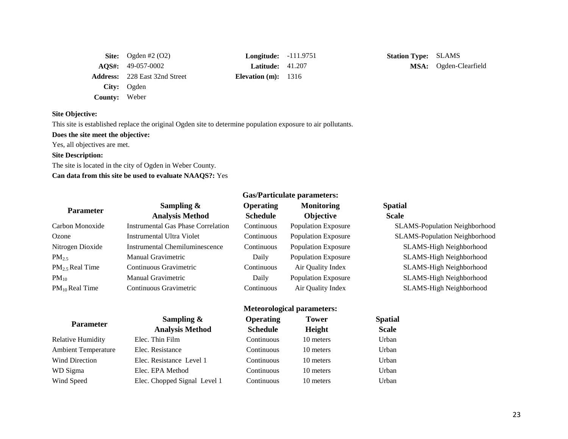|                      | Site: Ogden #2 $(O2)$                | $Longitude: -111.9$      |  |
|----------------------|--------------------------------------|--------------------------|--|
|                      | $\textbf{AOS}_{4}: 49-057-0002$      | <b>Latitude:</b> $41.20$ |  |
|                      | <b>Address:</b> 228 East 32nd Street | Elevation $(m)$ : 1316   |  |
|                      | City: Ogden                          |                          |  |
| <b>County:</b> Weber |                                      |                          |  |

**Example 5 (C2) Longitude:** -111.9751 **Station Type:** SLAMS

Latitude: 41.207 **MSA:** Ogden-Clearfield

# **Site Objective:**

This site is established replace the original Ogden site to determine population exposure to air pollutants.

#### **Does the site meet the objective:**

Yes, all objectives are met.

# **Site Description:**

The site is located in the city of Ogden in Weber County.

**Can data from this site be used to evaluate NAAQS?:** Yes

| Sampling $\&$                             | <b>Operating</b> | <b>Monitoring</b>          | <b>Spatial</b>                       |  |
|-------------------------------------------|------------------|----------------------------|--------------------------------------|--|
| <b>Analysis Method</b>                    | <b>Schedule</b>  | <b>Objective</b>           | <b>Scale</b>                         |  |
| <b>Instrumental Gas Phase Correlation</b> | Continuous       | Population Exposure        | <b>SLAMS-Population Neighborhood</b> |  |
| Instrumental Ultra Violet                 | Continuous       | Population Exposure        | <b>SLAMS-Population Neighborhood</b> |  |
| Instrumental Chemiluminescence            | Continuous       | <b>Population Exposure</b> | SLAMS-High Neighborhood              |  |
| Manual Gravimetric                        | Daily            | <b>Population Exposure</b> | SLAMS-High Neighborhood              |  |
| Continuous Gravimetric                    | Continuous       | Air Quality Index          | SLAMS-High Neighborhood              |  |
| <b>Manual Gravimetric</b>                 | Daily            | Population Exposure        | SLAMS-High Neighborhood              |  |
| Continuous Gravimetric                    | Continuous       | Air Quality Index          | SLAMS-High Neighborhood              |  |
|                                           |                  |                            |                                      |  |
|                                           |                  |                            | <b>Gas/Particulate parameters:</b>   |  |

| <b>Parameter</b>           | $\sum_{n=1}^{\infty}$        | <b>Operating</b> | 10wer     | <b>Spatial</b> |
|----------------------------|------------------------------|------------------|-----------|----------------|
|                            | <b>Analysis Method</b>       | <b>Schedule</b>  | Height    | <b>Scale</b>   |
| <b>Relative Humidity</b>   | Elec. Thin Film              | Continuous       | 10 meters | Urban          |
| <b>Ambient Temperature</b> | Elec. Resistance             | Continuous       | 10 meters | Urban          |
| Wind Direction             | Elec. Resistance Level 1     | Continuous       | 10 meters | Urban          |
| WD Sigma                   | Elec. EPA Method             | Continuous       | 10 meters | Urban          |
| Wind Speed                 | Elec. Chopped Signal Level 1 | Continuous       | 10 meters | Urban          |

|                |                                         | <b>Meteorological parameters:</b>   |                        |                                |
|----------------|-----------------------------------------|-------------------------------------|------------------------|--------------------------------|
| Parameter      | Sampling $\&$<br><b>Analysis Method</b> | <b>Operating</b><br><b>Schedule</b> | <b>Tower</b><br>Height | <b>Spatial</b><br><b>Scale</b> |
| e Humidity     | Elec. Thin Film                         | Continuous                          | 10 meters              | Urban                          |
| nt Temperature | Elec. Resistance                        | Continuous                          | 10 meters              | Urban                          |
| Direction      | Elec. Resistance Level 1                | Continuous                          | 10 meters              | Urban                          |
| gma            | Elec. EPA Method                        | Continuous                          | 10 meters              | Urban                          |
|                |                                         |                                     |                        |                                |

#### 23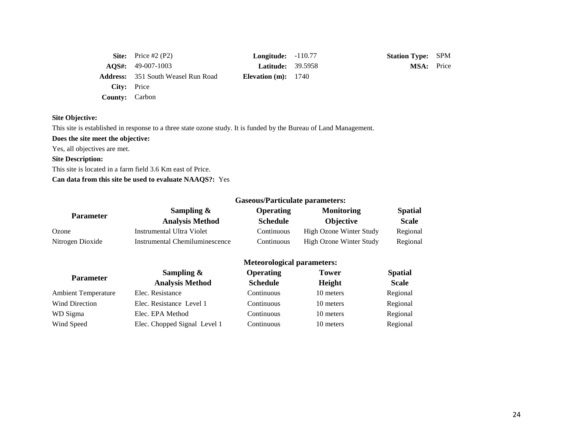|                       | Site: Price #2 $(P2)$                     | <b>Longitude:</b> $-110.77$ | <b>Station Type: SPM</b> |  |
|-----------------------|-------------------------------------------|-----------------------------|--------------------------|--|
|                       | $\textbf{AOS}_{4}: 49-007-1003$           | <b>Latitude:</b> 39.5958    | <b>MSA:</b> Price        |  |
|                       | <b>Address:</b> 351 South Weasel Run Road | Elevation $(m): 1740$       |                          |  |
| <b>City:</b> Price    |                                           |                             |                          |  |
| <b>County:</b> Carbon |                                           |                             |                          |  |

This site is established in response to a three state ozone study. It is funded by the Bureau of Land Management.

**Does the site meet the objective:**

Yes, all objectives are met.

**Site Description:** 

This site is located in a farm field 3.6 Km east of Price.

**Can data from this site be used to evaluate NAAQS?:** Yes

|                  | <b>Gaseous/Particulate parameters:</b>  |                                     |                                       |                                |  |
|------------------|-----------------------------------------|-------------------------------------|---------------------------------------|--------------------------------|--|
| <b>Parameter</b> | Sampling $\&$<br><b>Analysis Method</b> | <b>Operating</b><br><b>Schedule</b> | <b>Monitoring</b><br><b>Objective</b> | <b>Spatial</b><br><b>Scale</b> |  |
| Ozone            | Instrumental Ultra Violet               | Continuous                          | High Ozone Winter Study               | Regional                       |  |
| Nitrogen Dioxide | Instrumental Chemiluminescence          | Continuous                          | High Ozone Winter Study               | Regional                       |  |

|                            | Sampling $\&$                | <b>Operating</b> | <b>Tower</b> | <b>Spatial</b> |
|----------------------------|------------------------------|------------------|--------------|----------------|
| <b>Parameter</b>           | <b>Analysis Method</b>       | <b>Schedule</b>  | Height       | <b>Scale</b>   |
| <b>Ambient Temperature</b> | Elec. Resistance             | Continuous       | 10 meters    | Regional       |
| <b>Wind Direction</b>      | Elec. Resistance Level 1     | Continuous       | 10 meters    | Regional       |
| WD Sigma                   | Elec. EPA Method             | Continuous       | 10 meters    | Regional       |
| Wind Speed                 | Elec. Chopped Signal Level 1 | Continuous       | 10 meters    | Regional       |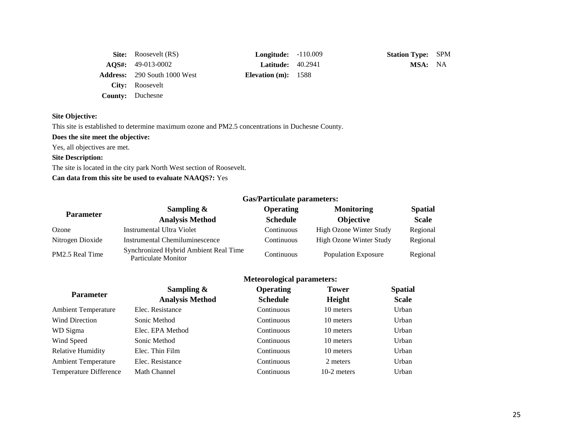| <b>Site:</b> Roosevelt (RS)           | <b>Longitude:</b> $-110.009$ | <b>Station Type: SPM</b> |  |
|---------------------------------------|------------------------------|--------------------------|--|
| $\textbf{AOS}_{1}: \quad 49-013-0002$ | <b>Latitude:</b> 40.2941     | MSA: NA                  |  |
| <b>Address:</b> 290 South 1000 West   | Elevation $(m): 1588$        |                          |  |
| <b>City:</b> Roosevelt                |                              |                          |  |
| <b>County:</b> Duchesne               |                              |                          |  |

This site is established to determine maximum ozone and PM2.5 concentrations in Duchesne County.

# **Does the site meet the objective:**

Yes, all objectives are met.

# **Site Description:**

The site is located in the city park North West section of Roosevelt.

# **Can data from this site be used to evaluate NAAQS?:** Yes

|                  |                                                              | <u>sast al premare palaments</u> |                            |                |  |  |
|------------------|--------------------------------------------------------------|----------------------------------|----------------------------|----------------|--|--|
| <b>Parameter</b> | Sampling $\&$                                                | <b>Operating</b>                 | <b>Monitoring</b>          | <b>Spatial</b> |  |  |
|                  | <b>Analysis Method</b>                                       | <b>Schedule</b>                  | <b>Objective</b>           | <b>Scale</b>   |  |  |
| Ozone            | Instrumental Ultra Violet                                    | Continuous                       | High Ozone Winter Study    | Regional       |  |  |
| Nitrogen Dioxide | Instrumental Chemiluminescence                               | Continuous                       | High Ozone Winter Study    | Regional       |  |  |
| PM2.5 Real Time  | Synchronized Hybrid Ambient Real Time<br>Particulate Monitor | Continuous                       | <b>Population Exposure</b> | Regional       |  |  |

# **Meteorological parameters:**

| <b>Parameter</b>           | Sampling $\&$<br><b>Analysis Method</b> | <b>Operating</b><br><b>Schedule</b> | <b>Tower</b><br>Height | <b>Spatial</b><br><b>Scale</b> |
|----------------------------|-----------------------------------------|-------------------------------------|------------------------|--------------------------------|
| <b>Ambient Temperature</b> | Elec. Resistance                        | Continuous                          | 10 meters              | Urban                          |
| <b>Wind Direction</b>      | Sonic Method                            | <b>Continuous</b>                   | 10 meters              | Urban                          |
| WD Sigma                   | Elec. EPA Method                        | Continuous                          | 10 meters              | Urban                          |
| Wind Speed                 | Sonic Method                            | Continuous                          | 10 meters              | Urban                          |
| <b>Relative Humidity</b>   | Elec. Thin Film                         | <b>Continuous</b>                   | 10 meters              | Urban                          |
| <b>Ambient Temperature</b> | Elec. Resistance                        | Continuous                          | 2 meters               | Urban                          |
| Temperature Difference     | <b>Math Channel</b>                     | Continuous                          | 10-2 meters            | Urban                          |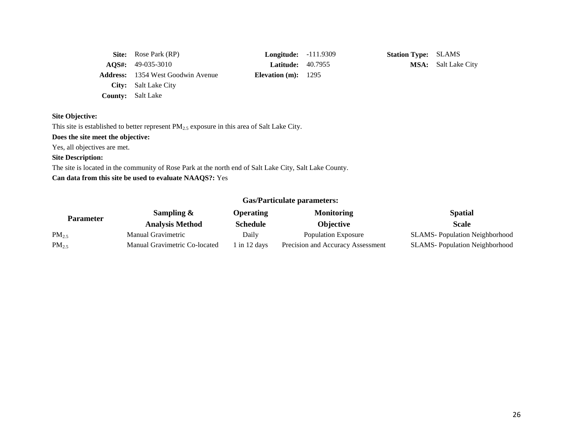| <b>Site:</b> Rose Park (RP)              | <b>Longitude:</b> $-111.9$ |  |
|------------------------------------------|----------------------------|--|
| $\textbf{AOS}_{4}: \quad 49-035-3010$    | <b>Latitude: 40.795</b>    |  |
| <b>Address:</b> 1354 West Goodwin Avenue | Elevation $(m): 1295$      |  |
| <b>City:</b> Salt Lake City              |                            |  |
| <b>County:</b> Salt Lake                 |                            |  |

**Station Type:** SLAMS **AQUE ACCES ADSOCITE ASSESS MSA:** Salt Lake City

#### **Site Objective:**

This site is established to better represent  $PM_{2.5}$  exposure in this area of Salt Lake City.

**Does the site meet the objective:**

Yes, all objectives are met.

# **Site Description:**

The site is located in the community of Rose Park at the north end of Salt Lake City, Salt Lake County.

**Can data from this site be used to evaluate NAAQS?:** Yes

| Parameter  | Sampling $\&$                 | <b>Operating</b> | <b>Monitoring</b>                 | <b>Spatial</b>                        |
|------------|-------------------------------|------------------|-----------------------------------|---------------------------------------|
|            | <b>Analysis Method</b>        | <b>Schedule</b>  | <b>Objective</b>                  | <b>Scale</b>                          |
| $PM_{2.5}$ | Manual Gravimetric            | Daily            | Population Exposure               | <b>SLAMS</b> -Population Neighborhood |
| $PM_{2.5}$ | Manual Gravimetric Co-located | 1 in 12 days     | Precision and Accuracy Assessment | <b>SLAMS</b> -Population Neighborhood |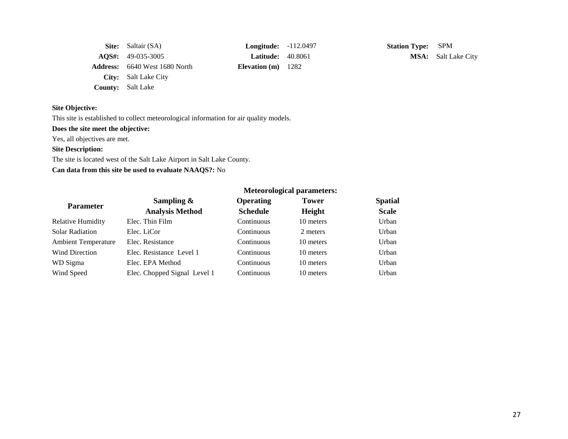| <b>Site:</b> Saltair (SA)            | <b>Longitude:</b> $-112.0$ |  |
|--------------------------------------|----------------------------|--|
| $AQS\#: 49-035-3005$                 | <b>Latitude:</b> $40.806$  |  |
| <b>Address:</b> 6640 West 1680 North | Elevation $(m)$ 1282       |  |
| <b>City:</b> Salt Lake City          |                            |  |
| <b>County:</b> Salt Lake             |                            |  |

**Station Type:** SPM **AQSE:** 49-035-3005 **MSA:** Salt Lake City

# **Site Objective:**

This site is established to collect meteorological information for air quality models.

# **Does the site meet the objective:**

Yes, all objectives are met.

# **Site Description:**

The site is located west of the Salt Lake Airport in Salt Lake County.

# **Can data from this site be used to evaluate NAAQS?:** No

|                            |                              | <b>Meteorological parameters:</b> |              |                |
|----------------------------|------------------------------|-----------------------------------|--------------|----------------|
| <b>Parameter</b>           | Sampling $\&$                | <b>Operating</b>                  | <b>Tower</b> | <b>Spatial</b> |
|                            | <b>Analysis Method</b>       | <b>Schedule</b>                   | Height       | <b>Scale</b>   |
| <b>Relative Humidity</b>   | Elec. Thin Film              | Continuous                        | 10 meters    | Urban          |
| <b>Solar Radiation</b>     | Elec. LiCor                  | Continuous                        | 2 meters     | Urban          |
| <b>Ambient Temperature</b> | Elec. Resistance             | Continuous                        | 10 meters    | Urban          |
| <b>Wind Direction</b>      | Elec. Resistance Level 1     | Continuous                        | 10 meters    | Urban          |
| WD Sigma                   | Elec. EPA Method             | Continuous                        | 10 meters    | Urban          |
| Wind Speed                 | Elec. Chopped Signal Level 1 | Continuous                        | 10 meters    | Urban          |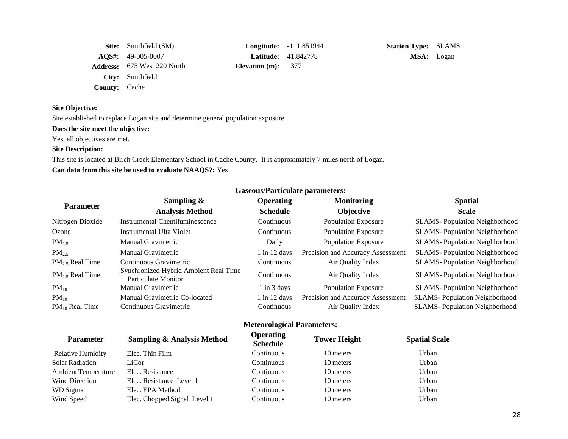|                      | <b>Site:</b> Smithfield (SM)                        | <b>Longitude:</b> -111.85194 |                            |
|----------------------|-----------------------------------------------------|------------------------------|----------------------------|
|                      | $\textbf{AOS}_{4}: \quad 49\text{-}005\text{-}0007$ |                              | <b>Latitude:</b> 41.842778 |
|                      | <b>Address:</b> 675 West 220 North                  | Elevation $(m): 1377$        |                            |
|                      | City: Smithfield                                    |                              |                            |
| <b>County:</b> Cache |                                                     |                              |                            |

Site established to replace Logan site and determine general population exposure.

**Does the site meet the objective:**

Yes, all objectives are met.

#### **Site Description:**

This site is located at Birch Creek Elementary School in Cache County. It is approximately 7 miles north of Logan. **Can data from this site be used to evaluate NAAQS?:** Yes

|                             |                                                              | $500$ as a creature parameters.     |                                   |                                       |
|-----------------------------|--------------------------------------------------------------|-------------------------------------|-----------------------------------|---------------------------------------|
|                             | Sampling $\&$                                                | <b>Operating</b>                    | <b>Monitoring</b>                 | <b>Spatial</b>                        |
| <b>Parameter</b>            | <b>Analysis Method</b>                                       | <b>Schedule</b>                     | <b>Objective</b>                  | <b>Scale</b>                          |
| Nitrogen Dioxide            | <b>Instrumental Chemiluminescence</b>                        | Continuous                          | <b>Population Exposure</b>        | <b>SLAMS-Population Neighborhood</b>  |
| Ozone                       | <b>Instrumental Ulta Violet</b>                              | Continuous                          | <b>Population Exposure</b>        | <b>SLAMS-Population Neighborhood</b>  |
| $PM_{2.5}$                  | Manual Gravimetric                                           | Daily                               | <b>Population Exposure</b>        | <b>SLAMS-Population Neighborhood</b>  |
| $PM_{2.5}$                  | Manual Gravimetric                                           | $1$ in 12 days                      | Precision and Accuracy Assessment | <b>SLAMS-Population Neighborhood</b>  |
| $PM_{2.5}$ Real Time        | Continuous Gravimetric                                       | Continuous                          | Air Quality Index                 | <b>SLAMS</b> -Population Neighborhood |
| PM <sub>2.5</sub> Real Time | Synchronized Hybrid Ambient Real Time<br>Particulate Monitor | Continuous                          | Air Quality Index                 | <b>SLAMS-Population Neighborhood</b>  |
| $PM_{10}$                   | Manual Gravimetric                                           | $1$ in $3$ days                     | <b>Population Exposure</b>        | <b>SLAMS-Population Neighborhood</b>  |
| $PM_{10}$                   | Manual Gravimetric Co-located                                | $1$ in 12 days                      | Precision and Accuracy Assessment | <b>SLAMS-Population Neighborhood</b>  |
| $PM_{10}$ Real Time         | Continuous Gravimetric                                       | Continuous                          | Air Quality Index                 | <b>SLAMS-Population Neighborhood</b>  |
|                             |                                                              | <b>Meteorological Parameters:</b>   |                                   |                                       |
| <b>Parameter</b>            | <b>Sampling &amp; Analysis Method</b>                        | <b>Operating</b><br><b>Schedule</b> | <b>Tower Height</b>               | <b>Spatial Scale</b>                  |
| <b>Relative Humidity</b>    | Elec. Thin Film                                              | Continuous                          | 10 meters                         | Urban                                 |
| <b>Solar Radiation</b>      | LiCor                                                        | Continuous                          | 10 meters                         | Urban                                 |
| <b>Ambient Temperature</b>  | Elec. Resistance                                             | Continuous                          | 10 meters                         | Urban                                 |
| <b>Wind Direction</b>       | Elec. Resistance Level 1                                     | Continuous                          | 10 meters                         | Urban                                 |
| WD Sigma                    | Elec. EPA Method                                             | Continuous                          | 10 meters                         | Urban                                 |

Wind Speed Elec. Chopped Signal Level 1 Continuous 10 meters Urban

#### **Gaseous/Particulate parameters:**

**Station Type:** SLAMS **MSA:** Logan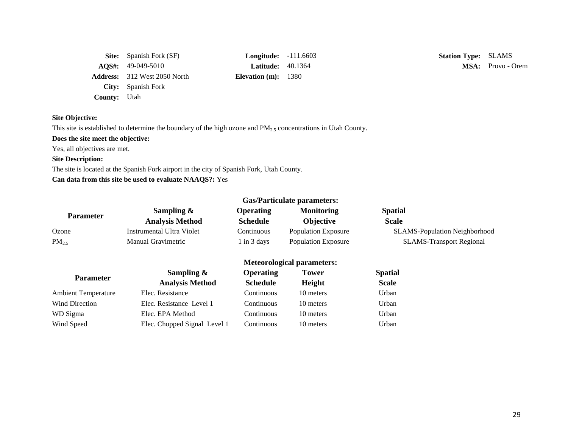|                     | <b>Site:</b> Spanish Fork (SF)      | <b>Longitude:</b> $-111.0$ |  |
|---------------------|-------------------------------------|----------------------------|--|
|                     | $\textbf{AOS}_{4}: 49-049-5010$     | <b>Latitude:</b> $40.13$   |  |
|                     | <b>Address:</b> 312 West 2050 North | Elevation $(m): 1380$      |  |
|                     | City: Spanish Fork                  |                            |  |
| <b>County:</b> Utah |                                     |                            |  |

**Example:** SLAMS **Station Type:** SLAMS

**Latitude:** 40.1364 **MSA:** Provo - Orem

# **Site Objective:**

This site is established to determine the boundary of the high ozone and PM<sub>2.5</sub> concentrations in Utah County.

# **Does the site meet the objective:**

Yes, all objectives are met.

## **Site Description:**

The site is located at the Spanish Fork airport in the city of Spanish Fork, Utah County.

# **Can data from this site be used to evaluate NAAQS?:** Yes

| <b>Gas/Particulate parameters:</b> |                           |                  |                            |                                      |
|------------------------------------|---------------------------|------------------|----------------------------|--------------------------------------|
| <b>Parameter</b>                   | Sampling $\&$             | <b>Operating</b> | <b>Monitoring</b>          | <b>Spatial</b>                       |
|                                    | <b>Analysis Method</b>    | <b>Schedule</b>  | <b>Objective</b>           | <b>Scale</b>                         |
| Ozone                              | Instrumental Ultra Violet | Continuous       | <b>Population Exposure</b> | <b>SLAMS-Population Neighborhood</b> |
| $PM_{2.5}$                         | <b>Manual Gravimetric</b> | 1 in 3 days      | <b>Population Exposure</b> | <b>SLAMS-Transport Regional</b>      |

|                            | Sampling $\&$                | <b>Operating</b> | <b>Tower</b> | <b>Spatial</b> |
|----------------------------|------------------------------|------------------|--------------|----------------|
| <b>Parameter</b>           | <b>Analysis Method</b>       | <b>Schedule</b>  | Height       | <b>Scale</b>   |
| <b>Ambient Temperature</b> | Elec. Resistance             | Continuous       | 10 meters    | Urban          |
| <b>Wind Direction</b>      | Elec. Resistance Level 1     | Continuous       | 10 meters    | Urban          |
| WD Sigma                   | Elec. EPA Method             | Continuous       | 10 meters    | Urban          |
| Wind Speed                 | Elec. Chopped Signal Level 1 | Continuous       | 10 meters    | Urban          |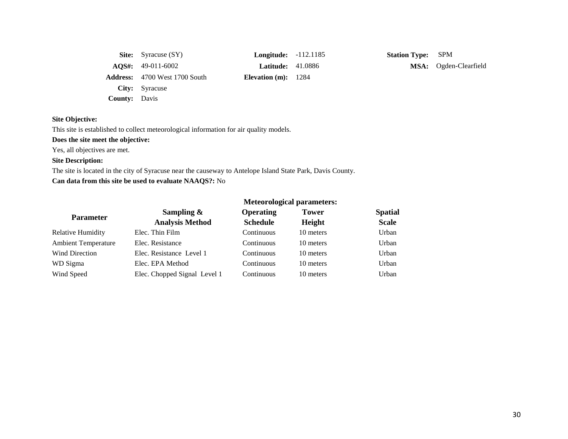|                      | <b>Site:</b> Syracuse (SY)            | <b>Longitude:</b> -112.1185 |  |
|----------------------|---------------------------------------|-----------------------------|--|
|                      | $\textbf{AOS}_{4}: \quad 49-011-6002$ | <b>Latitude:</b> $41.0886$  |  |
|                      | <b>Address:</b> 4700 West 1700 South  | Elevation $(m): 1284$       |  |
|                      | City: Syracuse                        |                             |  |
| <b>County:</b> Davis |                                       |                             |  |

**Station Type:** SPM **MSA:** Ogden-Clearfield

# **Site Objective:**

This site is established to collect meteorological information for air quality models.

# **Does the site meet the objective:**

Yes, all objectives are met.

# **Site Description:**

The site is located in the city of Syracuse near the causeway to Antelope Island State Park, Davis County. **Can data from this site be used to evaluate NAAQS?:** No

| <b>Parameter</b>           | Sampling $\&$                | <b>Operating</b> | <b>Tower</b>  | <b>Spatial</b> |  |
|----------------------------|------------------------------|------------------|---------------|----------------|--|
|                            | <b>Analysis Method</b>       | <b>Schedule</b>  | <b>Height</b> | <b>Scale</b>   |  |
| <b>Relative Humidity</b>   | Elec. Thin Film              | Continuous       | 10 meters     | Urban          |  |
| <b>Ambient Temperature</b> | Elec. Resistance             | Continuous       | 10 meters     | Urban          |  |
| Wind Direction             | Elec. Resistance Level 1     | Continuous       | 10 meters     | Urban          |  |
| WD Sigma                   | Elec. EPA Method             | Continuous       | 10 meters     | Urban          |  |
| Wind Speed                 | Elec. Chopped Signal Level 1 | Continuous       | 10 meters     | Urban          |  |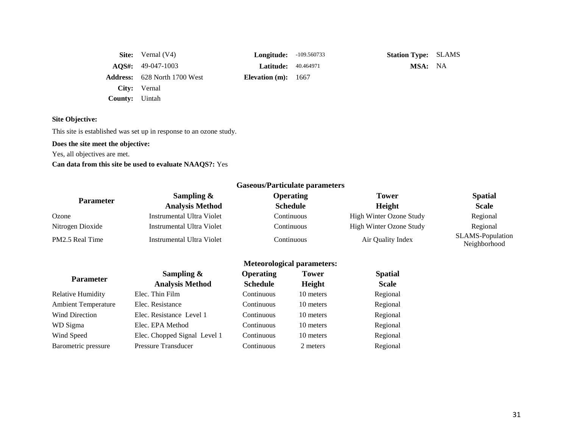|                       | <b>Site:</b> Vernal $(V4)$          | <b>Longitude:</b> -109.560733 | <b>Station Type: SLAMS</b> |  |
|-----------------------|-------------------------------------|-------------------------------|----------------------------|--|
|                       | $\text{AOS}_{4}$ : 49-047-1003      | <b>Latitude:</b> 40.464971    | MSA: NA                    |  |
|                       | <b>Address:</b> 628 North 1700 West | Elevation $(m)$ : 1667        |                            |  |
|                       | City: Vernal                        |                               |                            |  |
| <b>County:</b> Uintah |                                     |                               |                            |  |

This site is established was set up in response to an ozone study.

# **Does the site meet the objective:**

Yes, all objectives are met.

# **Can data from this site be used to evaluate NAAQS?:** Yes

|                  |                           | Gaseous/Particulate parameters |                         |                                  |  |
|------------------|---------------------------|--------------------------------|-------------------------|----------------------------------|--|
| <b>Parameter</b> | Sampling $\&$             | <b>Operating</b>               | Tower                   | <b>Spatial</b>                   |  |
|                  | <b>Analysis Method</b>    | <b>Schedule</b>                | Height                  | <b>Scale</b>                     |  |
| Ozone            | Instrumental Ultra Violet | Continuous                     | High Winter Ozone Study | Regional                         |  |
| Nitrogen Dioxide | Instrumental Ultra Violet | Continuous                     | High Winter Ozone Study | Regional                         |  |
| PM2.5 Real Time  | Instrumental Ultra Violet | <b>Continuous</b>              | Air Quality Index       | SLAMS-Population<br>Neighborhood |  |
|                  |                           | Meteorological parameters:     |                         |                                  |  |

|  |  |  | <b>Meteorological parameters:</b> |
|--|--|--|-----------------------------------|
|--|--|--|-----------------------------------|

|                            | Sampling $\&$                | <b>Operating</b> | <b>Tower</b> | <b>Spatial</b> |
|----------------------------|------------------------------|------------------|--------------|----------------|
| <b>Parameter</b>           | <b>Analysis Method</b>       | <b>Schedule</b>  | Height       | <b>Scale</b>   |
| <b>Relative Humidity</b>   | Elec. Thin Film              | Continuous       | 10 meters    | Regional       |
| <b>Ambient Temperature</b> | Elec. Resistance             | Continuous       | 10 meters    | Regional       |
| <b>Wind Direction</b>      | Elec. Resistance Level 1     | Continuous       | 10 meters    | Regional       |
| WD Sigma                   | Elec. EPA Method             | Continuous       | 10 meters    | Regional       |
| Wind Speed                 | Elec. Chopped Signal Level 1 | Continuous       | 10 meters    | Regional       |
| Barometric pressure        | <b>Pressure Transducer</b>   | Continuous       | 2 meters     | Regional       |
|                            |                              |                  |              |                |